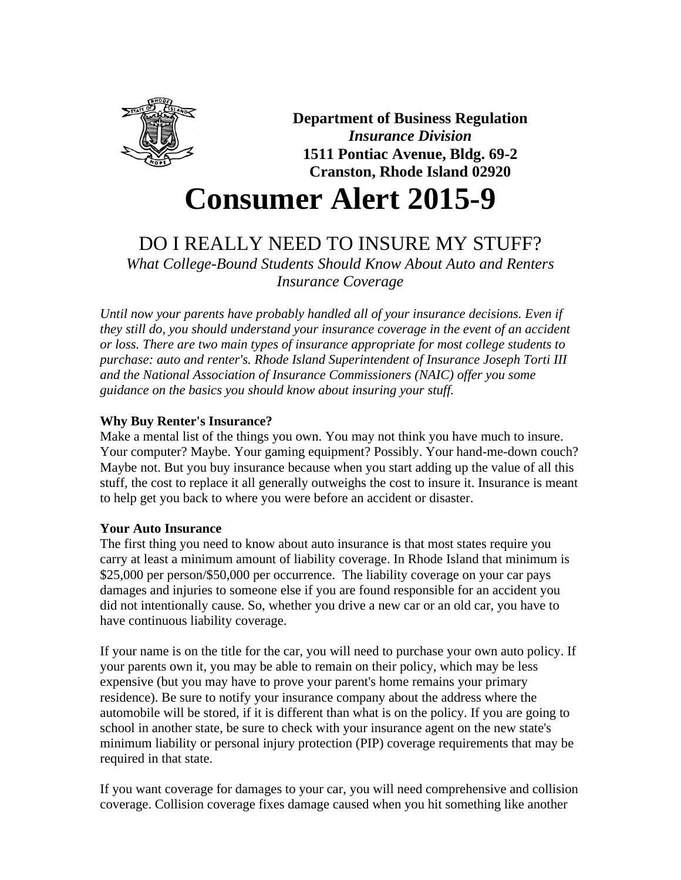

**Department of Business Regulation** *Insurance Division* **1511 Pontiac Avenue, Bldg. 69-2 Cranston, Rhode Island 02920**

# **Consumer Alert 2015-9**

# DO I REALLY NEED TO INSURE MY STUFF?

*What College-Bound Students Should Know About Auto and Renters Insurance Coverage*

*Until now your parents have probably handled all of your insurance decisions. Even if they still do, you should understand your insurance coverage in the event of an accident or loss. There are two main types of insurance appropriate for most college students to purchase: auto and renter's. Rhode Island Superintendent of Insurance Joseph Torti III and the National Association of Insurance Commissioners (NAIC) offer you some guidance on the basics you should know about insuring your stuff.*

## **Why Buy Renter's Insurance?**

Make a mental list of the things you own. You may not think you have much to insure. Your computer? Maybe. Your gaming equipment? Possibly. Your hand-me-down couch? Maybe not. But you buy insurance because when you start adding up the value of all this stuff, the cost to replace it all generally outweighs the cost to insure it. Insurance is meant to help get you back to where you were before an accident or disaster.

### **Your Auto Insurance**

The first thing you need to know about auto insurance is that most states require you carry at least a minimum amount of liability coverage. In Rhode Island that minimum is \$25,000 per person/\$50,000 per occurrence. The liability coverage on your car pays damages and injuries to someone else if you are found responsible for an accident you did not intentionally cause. So, whether you drive a new car or an old car, you have to have continuous liability coverage.

If your name is on the title for the car, you will need to purchase your own auto policy. If your parents own it, you may be able to remain on their policy, which may be less expensive (but you may have to prove your parent's home remains your primary residence). Be sure to notify your insurance company about the address where the automobile will be stored, if it is different than what is on the policy. If you are going to school in another state, be sure to check with your insurance agent on the new state's minimum liability or personal injury protection (PIP) coverage requirements that may be required in that state.

If you want coverage for damages to your car, you will need comprehensive and collision coverage. Collision coverage fixes damage caused when you hit something like another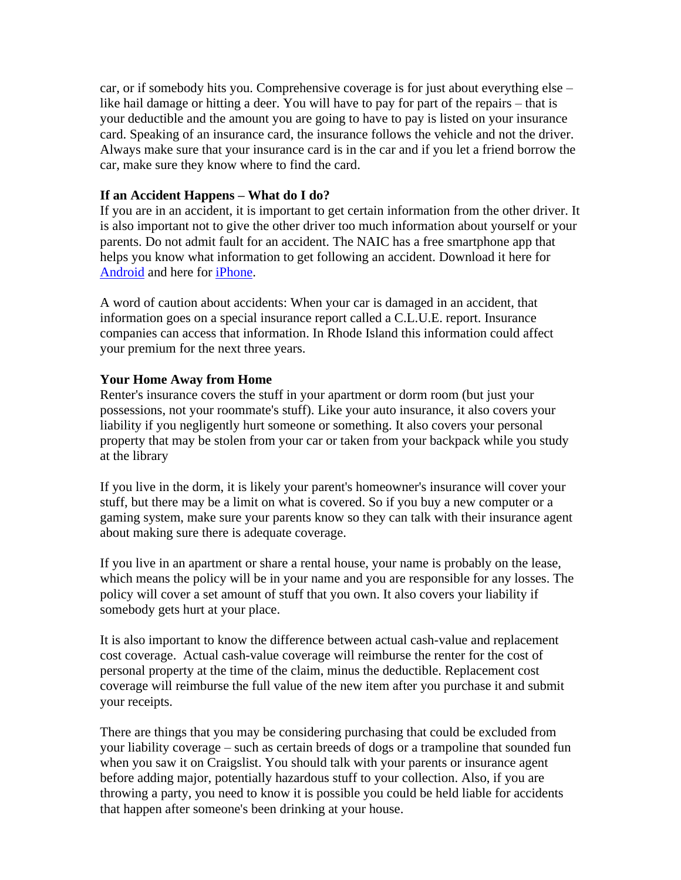car, or if somebody hits you. Comprehensive coverage is for just about everything else – like hail damage or hitting a deer. You will have to pay for part of the repairs – that is your deductible and the amount you are going to have to pay is listed on your insurance card. Speaking of an insurance card, the insurance follows the vehicle and not the driver. Always make sure that your insurance card is in the car and if you let a friend borrow the car, make sure they know where to find the card.

#### **If an Accident Happens – What do I do?**

If you are in an accident, it is important to get certain information from the other driver. It is also important not to give the other driver too much information about yourself or your parents. Do not admit fault for an accident. The NAIC has a free smartphone app that helps you know what information to get following an accident. Download it here for [Android](https://play.google.com/store/apps/details?id=org.naic.android.wreckcheck&feature=search_result#?t=W251bGwsMSwyLDEsIm9yZy5uYWljLmFuZHJvaWQud3JlY2tjaGVjayJd) and here for [iPhone.](https://itunes.apple.com/us/app/wreckcheck/id543290503?ls=1&mt=8)

A word of caution about accidents: When your car is damaged in an accident, that information goes on a special insurance report called a C.L.U.E. report. Insurance companies can access that information. In Rhode Island this information could affect your premium for the next three years.

#### **Your Home Away from Home**

Renter's insurance covers the stuff in your apartment or dorm room (but just your possessions, not your roommate's stuff). Like your auto insurance, it also covers your liability if you negligently hurt someone or something. It also covers your personal property that may be stolen from your car or taken from your backpack while you study at the library

If you live in the dorm, it is likely your parent's homeowner's insurance will cover your stuff, but there may be a limit on what is covered. So if you buy a new computer or a gaming system, make sure your parents know so they can talk with their insurance agent about making sure there is adequate coverage.

If you live in an apartment or share a rental house, your name is probably on the lease, which means the policy will be in your name and you are responsible for any losses. The policy will cover a set amount of stuff that you own. It also covers your liability if somebody gets hurt at your place.

It is also important to know the difference between actual cash-value and replacement cost coverage. Actual cash-value coverage will reimburse the renter for the cost of personal property at the time of the claim, minus the deductible. Replacement cost coverage will reimburse the full value of the new item after you purchase it and submit your receipts.

There are things that you may be considering purchasing that could be excluded from your liability coverage – such as certain breeds of dogs or a trampoline that sounded fun when you saw it on Craigslist. You should talk with your parents or insurance agent before adding major, potentially hazardous stuff to your collection. Also, if you are throwing a party, you need to know it is possible you could be held liable for accidents that happen after someone's been drinking at your house.